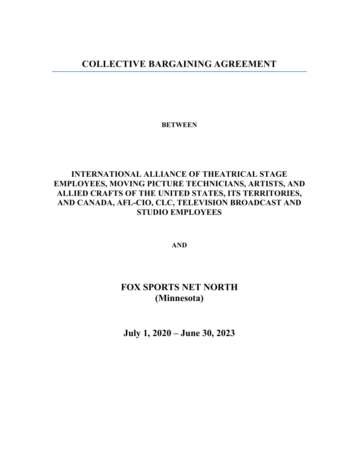## **COLLECTIVE BARGAINING AGREEMENT**

**BETWEEN**

## **INTERNATIONAL ALLIANCE OF THEATRICAL STAGE EMPLOYEES, MOVING PICTURE TECHNICIANS, ARTISTS, AND ALLIED CRAFTS OF THE UNITED STATES, ITS TERRITORIES, AND CANADA, AFL-CIO, CLC, TELEVISION BROADCAST AND STUDIO EMPLOYEES**

**AND**

# **FOX SPORTS NET NORTH (Minnesota)**

**July 1, 2020 – June 30, 2023**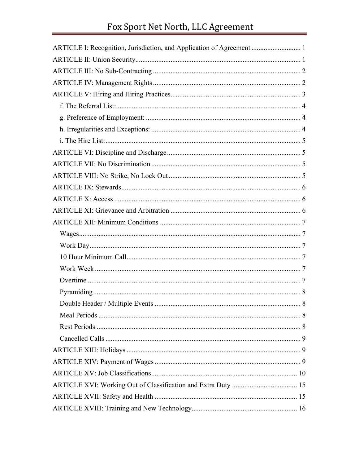| ARTICLE I: Recognition, Jurisdiction, and Application of Agreement  1 |
|-----------------------------------------------------------------------|
|                                                                       |
|                                                                       |
|                                                                       |
|                                                                       |
|                                                                       |
|                                                                       |
|                                                                       |
|                                                                       |
|                                                                       |
|                                                                       |
|                                                                       |
|                                                                       |
|                                                                       |
|                                                                       |
|                                                                       |
|                                                                       |
|                                                                       |
|                                                                       |
|                                                                       |
|                                                                       |
|                                                                       |
|                                                                       |
|                                                                       |
|                                                                       |
|                                                                       |
|                                                                       |
|                                                                       |
|                                                                       |
|                                                                       |
|                                                                       |
|                                                                       |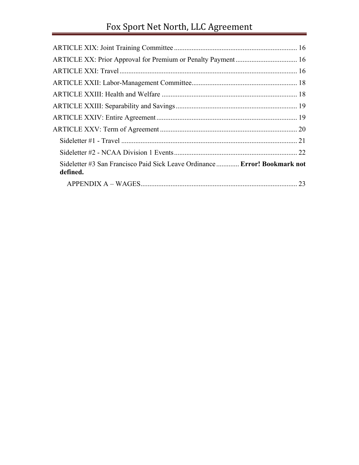# Fox Sport Net North, LLC Agreement

| Sideletter #3 San Francisco Paid Sick Leave Ordinance  Error! Bookmark not<br>defined. |  |
|----------------------------------------------------------------------------------------|--|
|                                                                                        |  |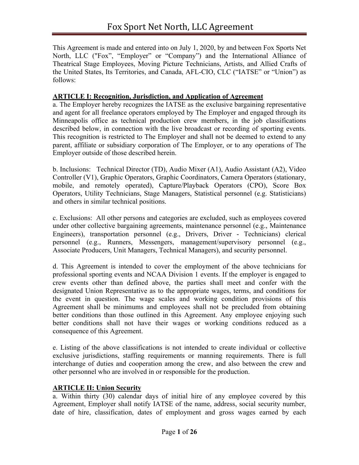This Agreement is made and entered into on July 1, 2020, by and between Fox Sports Net North, LLC ("Fox", "Employer" or "Company") and the International Alliance of Theatrical Stage Employees, Moving Picture Technicians, Artists, and Allied Crafts of the United States, Its Territories, and Canada, AFL-CIO, CLC ("IATSE" or "Union") as follows:

#### **ARTICLE I: Recognition, Jurisdiction, and Application of Agreement**

a. The Employer hereby recognizes the IATSE as the exclusive bargaining representative and agent for all freelance operators employed by The Employer and engaged through its Minneapolis office as technical production crew members, in the job classifications described below, in connection with the live broadcast or recording of sporting events. This recognition is restricted to The Employer and shall not be deemed to extend to any parent, affiliate or subsidiary corporation of The Employer, or to any operations of The Employer outside of those described herein.

b. Inclusions: Technical Director (TD), Audio Mixer (A1), Audio Assistant (A2), Video Controller (V1), Graphic Operators, Graphic Coordinators, Camera Operators (stationary, mobile, and remotely operated), Capture/Playback Operators (CPO), Score Box Operators, Utility Technicians, Stage Managers, Statistical personnel (e.g. Statisticians) and others in similar technical positions.

c. Exclusions: All other persons and categories are excluded, such as employees covered under other collective bargaining agreements, maintenance personnel (e.g., Maintenance Engineers), transportation personnel (e.g., Drivers, Driver - Technicians) clerical personnel (e.g., Runners, Messengers, management/supervisory personnel (e.g., Associate Producers, Unit Managers, Technical Managers), and security personnel.

d. This Agreement is intended to cover the employment of the above technicians for professional sporting events and NCAA Division 1 events. If the employer is engaged to crew events other than defined above, the parties shall meet and confer with the designated Union Representative as to the appropriate wages, terms, and conditions for the event in question. The wage scales and working condition provisions of this Agreement shall be minimums and employees shall not be precluded from obtaining better conditions than those outlined in this Agreement. Any employee enjoying such better conditions shall not have their wages or working conditions reduced as a consequence of this Agreement.

e. Listing of the above classifications is not intended to create individual or collective exclusive jurisdictions, staffing requirements or manning requirements. There is full interchange of duties and cooperation among the crew, and also between the crew and other personnel who are involved in or responsible for the production.

#### **ARTICLE II: Union Security**

a. Within thirty (30) calendar days of initial hire of any employee covered by this Agreement, Employer shall notify IATSE of the name, address, social security number, date of hire, classification, dates of employment and gross wages earned by each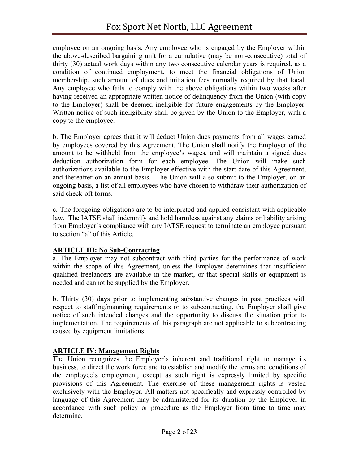employee on an ongoing basis. Any employee who is engaged by the Employer within the above-described bargaining unit for a cumulative (may be non-consecutive) total of thirty (30) actual work days within any two consecutive calendar years is required, as a condition of continued employment, to meet the financial obligations of Union membership, such amount of dues and initiation fees normally required by that local. Any employee who fails to comply with the above obligations within two weeks after having received an appropriate written notice of delinquency from the Union (with copy to the Employer) shall be deemed ineligible for future engagements by the Employer. Written notice of such ineligibility shall be given by the Union to the Employer, with a copy to the employee.

b. The Employer agrees that it will deduct Union dues payments from all wages earned by employees covered by this Agreement. The Union shall notify the Employer of the amount to be withheld from the employee's wages, and will maintain a signed dues deduction authorization form for each employee. The Union will make such authorizations available to the Employer effective with the start date of this Agreement, and thereafter on an annual basis. The Union will also submit to the Employer, on an ongoing basis, a list of all employees who have chosen to withdraw their authorization of said check-off forms.

c. The foregoing obligations are to be interpreted and applied consistent with applicable law. The IATSE shall indemnify and hold harmless against any claims or liability arising from Employer's compliance with any IATSE request to terminate an employee pursuant to section "a" of this Article.

## **ARTICLE III: No Sub-Contracting**

a. The Employer may not subcontract with third parties for the performance of work within the scope of this Agreement, unless the Employer determines that insufficient qualified freelancers are available in the market, or that special skills or equipment is needed and cannot be supplied by the Employer.

b. Thirty (30) days prior to implementing substantive changes in past practices with respect to staffing/manning requirements or to subcontracting, the Employer shall give notice of such intended changes and the opportunity to discuss the situation prior to implementation. The requirements of this paragraph are not applicable to subcontracting caused by equipment limitations.

## **ARTICLE IV: Management Rights**

The Union recognizes the Employer's inherent and traditional right to manage its business, to direct the work force and to establish and modify the terms and conditions of the employee's employment, except as such right is expressly limited by specific provisions of this Agreement. The exercise of these management rights is vested exclusively with the Employer. All matters not specifically and expressly controlled by language of this Agreement may be administered for its duration by the Employer in accordance with such policy or procedure as the Employer from time to time may determine.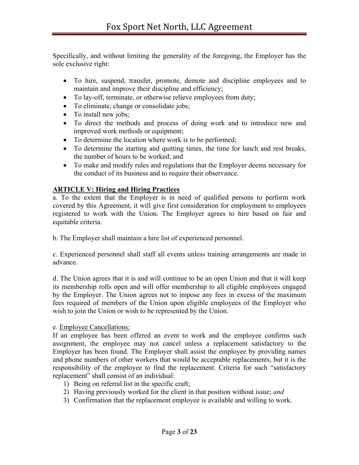Specifically, and without limiting the generality of the foregoing, the Employer has the sole exclusive right:

- To hire, suspend, transfer, promote, demote and discipline employees and to maintain and improve their discipline and efficiency;
- To lay-off, terminate, or otherwise relieve employees from duty;
- To eliminate, change or consolidate jobs;
- To install new jobs;
- To direct the methods and process of doing work and to introduce new and improved work methods or equipment;
- To determine the location where work is to be performed;
- To determine the starting and quitting times, the time for lunch and rest breaks, the number of hours to be worked; and
- To make and modify rules and regulations that the Employer deems necessary for the conduct of its business and to require their observance.

## **ARTICLE V: Hiring and Hiring Practices**

a. To the extent that the Employer is in need of qualified persons to perform work covered by this Agreement, it will give first consideration for employment to employees registered to work with the Union. The Employer agrees to hire based on fair and equitable criteria.

b. The Employer shall maintain a hire list of experienced personnel.

c. Experienced personnel shall staff all events unless training arrangements are made in advance.

d. The Union agrees that it is and will continue to be an open Union and that it will keep its membership rolls open and will offer membership to all eligible employees engaged by the Employer. The Union agrees not to impose any fees in excess of the maximum fees required of members of the Union upon eligible employees of the Employer who wish to join the Union or wish to be represented by the Union.

## e. Employee Cancellations:

If an employee has been offered an event to work and the employee confirms such assignment, the employee may not cancel unless a replacement satisfactory to the Employer has been found. The Employer shall assist the employee by providing names and phone numbers of other workers that would be acceptable replacements, but it is the responsibility of the employee to find the replacement. Criteria for such "satisfactory replacement" shall consist of an individual:

- 1) Being on referral list in the specific craft;
- 2) Having previously worked for the client in that position without issue; *and*
- 3) Confirmation that the replacement employee is available and willing to work.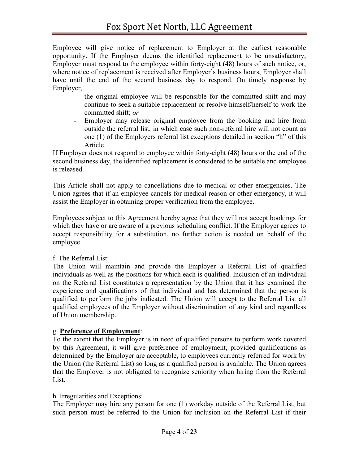Employee will give notice of replacement to Employer at the earliest reasonable opportunity. If the Employer deems the identified replacement to be unsatisfactory, Employer must respond to the employee within forty-eight (48) hours of such notice, or, where notice of replacement is received after Employer's business hours, Employer shall have until the end of the second business day to respond. On timely response by Employer,

- the original employee will be responsible for the committed shift and may continue to seek a suitable replacement or resolve himself/herself to work the committed shift; *or*
- Employer may release original employee from the booking and hire from outside the referral list, in which case such non-referral hire will not count as one (1) of the Employers referral list exceptions detailed in section "h" of this Article.

If Employer does not respond to employee within forty-eight (48) hours or the end of the second business day, the identified replacement is considered to be suitable and employee is released.

This Article shall not apply to cancellations due to medical or other emergencies. The Union agrees that if an employee cancels for medical reason or other emergency, it will assist the Employer in obtaining proper verification from the employee.

Employees subject to this Agreement hereby agree that they will not accept bookings for which they have or are aware of a previous scheduling conflict. If the Employer agrees to accept responsibility for a substitution, no further action is needed on behalf of the employee.

## f. The Referral List:

The Union will maintain and provide the Employer a Referral List of qualified individuals as well as the positions for which each is qualified. Inclusion of an individual on the Referral List constitutes a representation by the Union that it has examined the experience and qualifications of that individual and has determined that the person is qualified to perform the jobs indicated. The Union will accept to the Referral List all qualified employees of the Employer without discrimination of any kind and regardless of Union membership.

## g. **Preference of Employment**:

To the extent that the Employer is in need of qualified persons to perform work covered by this Agreement, it will give preference of employment, provided qualifications as determined by the Employer are acceptable, to employees currently referred for work by the Union (the Referral List) so long as a qualified person is available. The Union agrees that the Employer is not obligated to recognize seniority when hiring from the Referral List.

## h. Irregularities and Exceptions:

The Employer may hire any person for one (1) workday outside of the Referral List, but such person must be referred to the Union for inclusion on the Referral List if their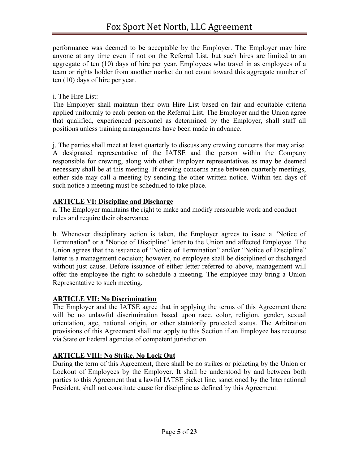performance was deemed to be acceptable by the Employer. The Employer may hire anyone at any time even if not on the Referral List, but such hires are limited to an aggregate of ten (10) days of hire per year. Employees who travel in as employees of a team or rights holder from another market do not count toward this aggregate number of ten (10) days of hire per year.

## i. The Hire List:

The Employer shall maintain their own Hire List based on fair and equitable criteria applied uniformly to each person on the Referral List. The Employer and the Union agree that qualified, experienced personnel as determined by the Employer, shall staff all positions unless training arrangements have been made in advance.

j. The parties shall meet at least quarterly to discuss any crewing concerns that may arise. A designated representative of the IATSE and the person within the Company responsible for crewing, along with other Employer representatives as may be deemed necessary shall be at this meeting. If crewing concerns arise between quarterly meetings, either side may call a meeting by sending the other written notice. Within ten days of such notice a meeting must be scheduled to take place.

## **ARTICLE VI: Discipline and Discharge**

a. The Employer maintains the right to make and modify reasonable work and conduct rules and require their observance.

b. Whenever disciplinary action is taken, the Employer agrees to issue a "Notice of Termination" or a "Notice of Discipline" letter to the Union and affected Employee. The Union agrees that the issuance of "Notice of Termination" and/or "Notice of Discipline" letter is a management decision; however, no employee shall be disciplined or discharged without just cause. Before issuance of either letter referred to above, management will offer the employee the right to schedule a meeting. The employee may bring a Union Representative to such meeting.

## **ARTICLE VII: No Discrimination**

The Employer and the IATSE agree that in applying the terms of this Agreement there will be no unlawful discrimination based upon race, color, religion, gender, sexual orientation, age, national origin, or other statutorily protected status. The Arbitration provisions of this Agreement shall not apply to this Section if an Employee has recourse via State or Federal agencies of competent jurisdiction.

## **ARTICLE VIII: No Strike, No Lock Out**

During the term of this Agreement, there shall be no strikes or picketing by the Union or Lockout of Employees by the Employer. It shall be understood by and between both parties to this Agreement that a lawful IATSE picket line, sanctioned by the International President, shall not constitute cause for discipline as defined by this Agreement.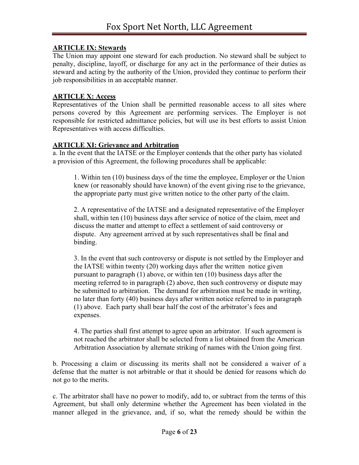## **ARTICLE IX: Stewards**

The Union may appoint one steward for each production. No steward shall be subject to penalty, discipline, layoff, or discharge for any act in the performance of their duties as steward and acting by the authority of the Union, provided they continue to perform their job responsibilities in an acceptable manner.

## **ARTICLE X: Access**

Representatives of the Union shall be permitted reasonable access to all sites where persons covered by this Agreement are performing services. The Employer is not responsible for restricted admittance policies, but will use its best efforts to assist Union Representatives with access difficulties.

## **ARTICLE XI: Grievance and Arbitration**

a. In the event that the IATSE or the Employer contends that the other party has violated a provision of this Agreement, the following procedures shall be applicable:

1. Within ten (10) business days of the time the employee, Employer or the Union knew (or reasonably should have known) of the event giving rise to the grievance, the appropriate party must give written notice to the other party of the claim.

2. A representative of the IATSE and a designated representative of the Employer shall, within ten (10) business days after service of notice of the claim, meet and discuss the matter and attempt to effect a settlement of said controversy or dispute. Any agreement arrived at by such representatives shall be final and binding.

3. In the event that such controversy or dispute is not settled by the Employer and the IATSE within twenty (20) working days after the written notice given pursuant to paragraph (1) above, or within ten (10) business days after the meeting referred to in paragraph (2) above, then such controversy or dispute may be submitted to arbitration. The demand for arbitration must be made in writing, no later than forty (40) business days after written notice referred to in paragraph (1) above. Each party shall bear half the cost of the arbitrator's fees and expenses.

4. The parties shall first attempt to agree upon an arbitrator. If such agreement is not reached the arbitrator shall be selected from a list obtained from the American Arbitration Association by alternate striking of names with the Union going first.

b. Processing a claim or discussing its merits shall not be considered a waiver of a defense that the matter is not arbitrable or that it should be denied for reasons which do not go to the merits.

c. The arbitrator shall have no power to modify, add to, or subtract from the terms of this Agreement, but shall only determine whether the Agreement has been violated in the manner alleged in the grievance, and, if so, what the remedy should be within the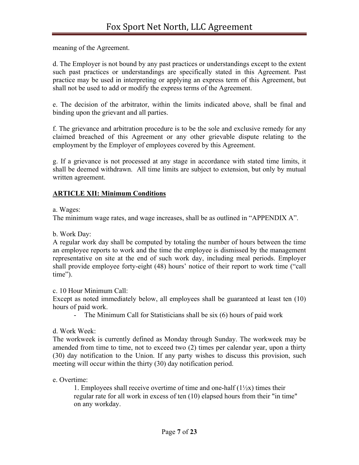meaning of the Agreement.

d. The Employer is not bound by any past practices or understandings except to the extent such past practices or understandings are specifically stated in this Agreement. Past practice may be used in interpreting or applying an express term of this Agreement, but shall not be used to add or modify the express terms of the Agreement.

e. The decision of the arbitrator, within the limits indicated above, shall be final and binding upon the grievant and all parties.

f. The grievance and arbitration procedure is to be the sole and exclusive remedy for any claimed breached of this Agreement or any other grievable dispute relating to the employment by the Employer of employees covered by this Agreement.

g. If a grievance is not processed at any stage in accordance with stated time limits, it shall be deemed withdrawn. All time limits are subject to extension, but only by mutual written agreement.

## **ARTICLE XII: Minimum Conditions**

a. Wages:

The minimum wage rates, and wage increases, shall be as outlined in "APPENDIX A".

b. Work Day:

A regular work day shall be computed by totaling the number of hours between the time an employee reports to work and the time the employee is dismissed by the management representative on site at the end of such work day, including meal periods. Employer shall provide employee forty-eight (48) hours' notice of their report to work time ("call time").

c. 10 Hour Minimum Call:

Except as noted immediately below, all employees shall be guaranteed at least ten (10) hours of paid work.

The Minimum Call for Statisticians shall be  $s$ ix  $(6)$  hours of paid work

d. Work Week:

The workweek is currently defined as Monday through Sunday. The workweek may be amended from time to time, not to exceed two (2) times per calendar year, upon a thirty (30) day notification to the Union. If any party wishes to discuss this provision, such meeting will occur within the thirty (30) day notification period.

e. Overtime:

1. Employees shall receive overtime of time and one-half  $(1\frac{1}{2}x)$  times their regular rate for all work in excess of ten (10) elapsed hours from their "in time" on any workday.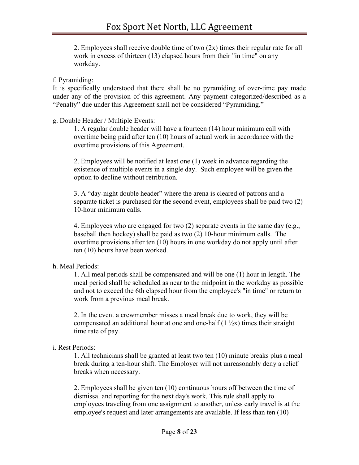2. Employees shall receive double time of two (2x) times their regular rate for all work in excess of thirteen (13) elapsed hours from their "in time" on any workday.

#### f. Pyramiding:

It is specifically understood that there shall be no pyramiding of over-time pay made under any of the provision of this agreement. Any payment categorized/described as a "Penalty" due under this Agreement shall not be considered "Pyramiding."

#### g. Double Header / Multiple Events:

1. A regular double header will have a fourteen (14) hour minimum call with overtime being paid after ten (10) hours of actual work in accordance with the overtime provisions of this Agreement.

2. Employees will be notified at least one (1) week in advance regarding the existence of multiple events in a single day. Such employee will be given the option to decline without retribution.

3. A "day-night double header" where the arena is cleared of patrons and a separate ticket is purchased for the second event, employees shall be paid two (2) 10-hour minimum calls.

4. Employees who are engaged for two (2) separate events in the same day (e.g., baseball then hockey) shall be paid as two (2) 10-hour minimum calls. The overtime provisions after ten (10) hours in one workday do not apply until after ten (10) hours have been worked.

#### h. Meal Periods:

1. All meal periods shall be compensated and will be one (1) hour in length. The meal period shall be scheduled as near to the midpoint in the workday as possible and not to exceed the 6th elapsed hour from the employee's "in time" or return to work from a previous meal break.

2. In the event a crewmember misses a meal break due to work, they will be compensated an additional hour at one and one-half  $(1 \frac{1}{2}x)$  times their straight time rate of pay.

#### i. Rest Periods:

1. All technicians shall be granted at least two ten (10) minute breaks plus a meal break during a ten-hour shift. The Employer will not unreasonably deny a relief breaks when necessary.

2. Employees shall be given ten (10) continuous hours off between the time of dismissal and reporting for the next day's work. This rule shall apply to employees traveling from one assignment to another, unless early travel is at the employee's request and later arrangements are available. If less than ten (10)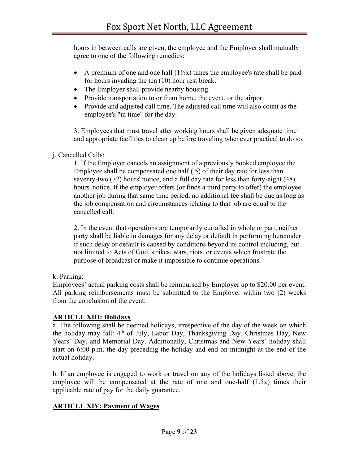hours in between calls are given, the employee and the Employer shall mutually agree to one of the following remedies:

- A premium of one and one half  $(1/\chi x)$  times the employee's rate shall be paid for hours invading the ten (10) hour rest break.
- The Employer shall provide nearby housing.
- Provide transportation to or from home, the event, or the airport.
- Provide and adjusted call time. The adjusted call time will also count as the employee's "in time" for the day.

3. Employees that must travel after working hours shall be given adequate time and appropriate facilities to clean up before traveling whenever practical to do so.

j. Cancelled Calls:

1. If the Employer cancels an assignment of a previously booked employee the Employee shall be compensated one half (.5) of their day rate for less than seventy-two (72) hours' notice, and a full day rate for less than forty-eight (48) hours' notice. If the employer offers (or finds a third party to offer) the employee another job during that same time period, no additional fee shall be due as long as the job compensation and circumstances relating to that job are equal to the cancelled call.

2. In the event that operations are temporarily curtailed in whole or part, neither party shall be liable in damages for any delay or default in performing hereunder if such delay or default is caused by conditions beyond its control including, but not limited to Acts of God, strikes, wars, riots, or events which frustrate the purpose of broadcast or make it impossible to continue operations.

k. Parking:

Employees' actual parking costs shall be reimbursed by Employer up to \$20.00 per event. All parking reimbursements must be submitted to the Employer within two (2) weeks from the conclusion of the event.

## **ARTICLE XIII: Holidays**

a. The following shall be deemed holidays, irrespective of the day of the week on which the holiday may fall: 4<sup>th</sup> of July, Labor Day, Thanksgiving Day, Christmas Day, New Years' Day, and Memorial Day. Additionally, Christmas and New Years' holiday shall start on 6:00 p.m. the day preceding the holiday and end on midnight at the end of the actual holiday.

b. If an employee is engaged to work or travel on any of the holidays listed above, the employee will be compensated at the rate of one and one-half (1.5x) times their applicable rate of pay for the daily guarantee.

## **ARTICLE XIV: Payment of Wages**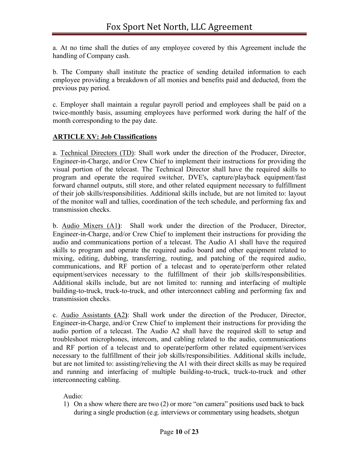a. At no time shall the duties of any employee covered by this Agreement include the handling of Company cash.

b. The Company shall institute the practice of sending detailed information to each employee providing a breakdown of all monies and benefits paid and deducted, from the previous pay period.

c. Employer shall maintain a regular payroll period and employees shall be paid on a twice-monthly basis, assuming employees have performed work during the half of the month corresponding to the pay date.

#### **ARTICLE XV: Job Classifications**

a. Technical Directors (TD): Shall work under the direction of the Producer, Director, Engineer-in-Charge, and/or Crew Chief to implement their instructions for providing the visual portion of the telecast. The Technical Director shall have the required skills to program and operate the required switcher, DVE's, capture/playback equipment/fast forward channel outputs, still store, and other related equipment necessary to fulfillment of their job skills/responsibilities. Additional skills include, but are not limited to: layout of the monitor wall and tallies, coordination of the tech schedule, and performing fax and transmission checks.

b. Audio Mixers (A1**)**: Shall work under the direction of the Producer, Director, Engineer-in-Charge, and/or Crew Chief to implement their instructions for providing the audio and communications portion of a telecast. The Audio A1 shall have the required skills to program and operate the required audio board and other equipment related to mixing, editing, dubbing, transferring, routing, and patching of the required audio, communications, and RF portion of a telecast and to operate/perform other related equipment/services necessary to the fulfillment of their job skills/responsibilities. Additional skills include, but are not limited to: running and interfacing of multiple building-to-truck, truck-to-truck, and other interconnect cabling and performing fax and transmission checks.

c. Audio Assistants **(**A2**)**: Shall work under the direction of the Producer, Director, Engineer-in-Charge, and/or Crew Chief to implement their instructions for providing the audio portion of a telecast. The Audio A2 shall have the required skill to setup and troubleshoot microphones, intercom, and cabling related to the audio, communications and RF portion of a telecast and to operate/perform other related equipment/services necessary to the fulfillment of their job skills/responsibilities. Additional skills include, but are not limited to: assisting/relieving the A1 with their direct skills as may be required and running and interfacing of multiple building-to-truck, truck-to-truck and other interconnecting cabling.

Audio:

1) On a show where there are two (2) or more "on camera" positions used back to back during a single production (e.g. interviews or commentary using headsets, shotgun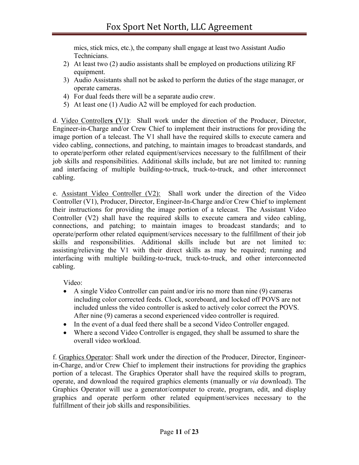mics, stick mics, etc.), the company shall engage at least two Assistant Audio Technicians.

- 2) At least two (2) audio assistants shall be employed on productions utilizing RF equipment.
- 3) Audio Assistants shall not be asked to perform the duties of the stage manager, or operate cameras.
- 4) For dual feeds there will be a separate audio crew.
- 5) At least one (1) Audio A2 will be employed for each production.

d. Video Controller**s (**V1**)**: Shall work under the direction of the Producer, Director, Engineer-in-Charge and/or Crew Chief to implement their instructions for providing the image portion of a telecast. The V1 shall have the required skills to execute camera and video cabling, connections, and patching, to maintain images to broadcast standards, and to operate/perform other related equipment/services necessary to the fulfillment of their job skills and responsibilities. Additional skills include, but are not limited to: running and interfacing of multiple building-to-truck, truck-to-truck, and other interconnect cabling.

e. Assistant Video Controller (V2): Shall work under the direction of the Video Controller (V1), Producer, Director, Engineer-In-Charge and/or Crew Chief to implement their instructions for providing the image portion of a telecast. The Assistant Video Controller (V2) shall have the required skills to execute camera and video cabling, connections, and patching; to maintain images to broadcast standards; and to operate/perform other related equipment/services necessary to the fulfillment of their job skills and responsibilities. Additional skills include but are not limited to: assisting/relieving the V1 with their direct skills as may be required; running and interfacing with multiple building-to-truck, truck-to-truck, and other interconnected cabling.

Video:

- A single Video Controller can paint and/or iris no more than nine (9) cameras including color corrected feeds. Clock, scoreboard, and locked off POVS are not included unless the video controller is asked to actively color correct the POVS. After nine (9) cameras a second experienced video controller is required.
- In the event of a dual feed there shall be a second Video Controller engaged.
- Where a second Video Controller is engaged, they shall be assumed to share the overall video workload.

f. Graphics Operator: Shall work under the direction of the Producer, Director, Engineerin-Charge, and/or Crew Chief to implement their instructions for providing the graphics portion of a telecast. The Graphics Operator shall have the required skills to program, operate, and download the required graphics elements (manually or *via* download). The Graphics Operator will use a generator/computer to create, program, edit, and display graphics and operate perform other related equipment/services necessary to the fulfillment of their job skills and responsibilities.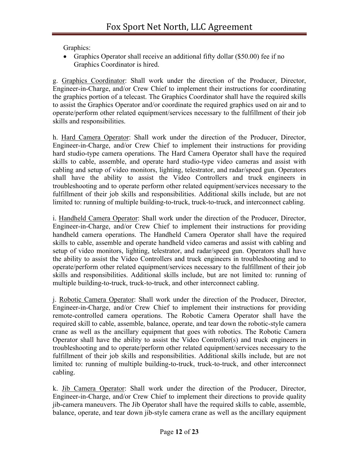Graphics:

• Graphics Operator shall receive an additional fifty dollar (\$50.00) fee if no Graphics Coordinator is hired.

g. Graphics Coordinator: Shall work under the direction of the Producer, Director, Engineer-in-Charge, and/or Crew Chief to implement their instructions for coordinating the graphics portion of a telecast. The Graphics Coordinator shall have the required skills to assist the Graphics Operator and/or coordinate the required graphics used on air and to operate/perform other related equipment/services necessary to the fulfillment of their job skills and responsibilities.

h. Hard Camera Operator: Shall work under the direction of the Producer, Director, Engineer-in-Charge, and/or Crew Chief to implement their instructions for providing hard studio-type camera operations. The Hard Camera Operator shall have the required skills to cable, assemble, and operate hard studio-type video cameras and assist with cabling and setup of video monitors, lighting, telestrator, and radar/speed gun. Operators shall have the ability to assist the Video Controllers and truck engineers in troubleshooting and to operate perform other related equipment/services necessary to the fulfillment of their job skills and responsibilities. Additional skills include, but are not limited to: running of multiple building-to-truck, truck-to-truck, and interconnect cabling.

i. Handheld Camera Operator: Shall work under the direction of the Producer, Director, Engineer-in-Charge, and/or Crew Chief to implement their instructions for providing handheld camera operations. The Handheld Camera Operator shall have the required skills to cable, assemble and operate handheld video cameras and assist with cabling and setup of video monitors, lighting, telestrator, and radar/speed gun. Operators shall have the ability to assist the Video Controllers and truck engineers in troubleshooting and to operate/perform other related equipment/services necessary to the fulfillment of their job skills and responsibilities. Additional skills include, but are not limited to: running of multiple building-to-truck, truck-to-truck, and other interconnect cabling.

j. Robotic Camera Operator: Shall work under the direction of the Producer, Director, Engineer-in-Charge, and/or Crew Chief to implement their instructions for providing remote-controlled camera operations. The Robotic Camera Operator shall have the required skill to cable, assemble, balance, operate, and tear down the robotic-style camera crane as well as the ancillary equipment that goes with robotics. The Robotic Camera Operator shall have the ability to assist the Video Controller(s) and truck engineers in troubleshooting and to operate/perform other related equipment/services necessary to the fulfillment of their job skills and responsibilities. Additional skills include, but are not limited to: running of multiple building-to-truck, truck-to-truck, and other interconnect cabling.

k. Jib Camera Operator: Shall work under the direction of the Producer, Director, Engineer-in-Charge, and/or Crew Chief to implement their directions to provide quality jib-camera maneuvers. The Jib Operator shall have the required skills to cable, assemble, balance, operate, and tear down jib-style camera crane as well as the ancillary equipment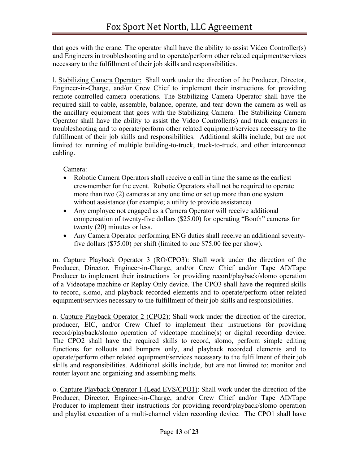that goes with the crane. The operator shall have the ability to assist Video Controller(s) and Engineers in troubleshooting and to operate/perform other related equipment/services necessary to the fulfillment of their job skills and responsibilities.

l. Stabilizing Camera Operator: Shall work under the direction of the Producer, Director, Engineer-in-Charge, and/or Crew Chief to implement their instructions for providing remote-controlled camera operations. The Stabilizing Camera Operator shall have the required skill to cable, assemble, balance, operate, and tear down the camera as well as the ancillary equipment that goes with the Stabilizing Camera. The Stabilizing Camera Operator shall have the ability to assist the Video Controller(s) and truck engineers in troubleshooting and to operate/perform other related equipment/services necessary to the fulfillment of their job skills and responsibilities. Additional skills include, but are not limited to: running of multiple building-to-truck, truck-to-truck, and other interconnect cabling.

Camera:

- Robotic Camera Operators shall receive a call in time the same as the earliest crewmember for the event. Robotic Operators shall not be required to operate more than two (2) cameras at any one time or set up more than one system without assistance (for example; a utility to provide assistance).
- Any employee not engaged as a Camera Operator will receive additional compensation of twenty-five dollars (\$25.00) for operating "Booth" cameras for twenty (20) minutes or less.
- Any Camera Operator performing ENG duties shall receive an additional seventyfive dollars (\$75.00) per shift (limited to one \$75.00 fee per show).

m. Capture Playback Operator 3 (RO/CPO3): Shall work under the direction of the Producer, Director, Engineer-in-Charge, and/or Crew Chief and/or Tape AD/Tape Producer to implement their instructions for providing record/playback/slomo operation of a Videotape machine or Replay Only device. The CPO3 shall have the required skills to record, slomo, and playback recorded elements and to operate/perform other related equipment/services necessary to the fulfillment of their job skills and responsibilities.

n. Capture Playback Operator 2 (CPO2): Shall work under the direction of the director, producer, EIC, and/or Crew Chief to implement their instructions for providing record/playback/slomo operation of videotape machine(s) or digital recording device. The CPO2 shall have the required skills to record, slomo, perform simple editing functions for rollouts and bumpers only, and playback recorded elements and to operate/perform other related equipment/services necessary to the fulfillment of their job skills and responsibilities. Additional skills include, but are not limited to: monitor and router layout and organizing and assembling melts.

o. Capture Playback Operator 1 (Lead EVS/CPO1): Shall work under the direction of the Producer, Director, Engineer-in-Charge, and/or Crew Chief and/or Tape AD/Tape Producer to implement their instructions for providing record/playback/slomo operation and playlist execution of a multi-channel video recording device. The CPO1 shall have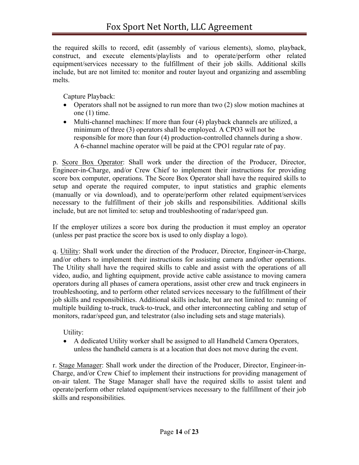the required skills to record, edit (assembly of various elements), slomo, playback, construct, and execute elements/playlists and to operate/perform other related equipment/services necessary to the fulfillment of their job skills. Additional skills include, but are not limited to: monitor and router layout and organizing and assembling melts.

Capture Playback:

- Operators shall not be assigned to run more than two (2) slow motion machines at one (1) time.
- Multi-channel machines: If more than four (4) playback channels are utilized, a minimum of three (3) operators shall be employed. A CPO3 will not be responsible for more than four (4) production-controlled channels during a show. A 6-channel machine operator will be paid at the CPO1 regular rate of pay.

p. Score Box Operator: Shall work under the direction of the Producer, Director, Engineer-in-Charge, and/or Crew Chief to implement their instructions for providing score box computer, operations. The Score Box Operator shall have the required skills to setup and operate the required computer, to input statistics and graphic elements (manually or via download), and to operate/perform other related equipment/services necessary to the fulfillment of their job skills and responsibilities. Additional skills include, but are not limited to: setup and troubleshooting of radar/speed gun.

If the employer utilizes a score box during the production it must employ an operator (unless per past practice the score box is used to only display a logo).

q. Utility: Shall work under the direction of the Producer, Director, Engineer-in-Charge, and/or others to implement their instructions for assisting camera and/other operations. The Utility shall have the required skills to cable and assist with the operations of all video, audio, and lighting equipment, provide active cable assistance to moving camera operators during all phases of camera operations, assist other crew and truck engineers in troubleshooting, and to perform other related services necessary to the fulfillment of their job skills and responsibilities. Additional skills include, but are not limited to: running of multiple building to-truck, truck-to-truck, and other interconnecting cabling and setup of monitors, radar/speed gun, and telestrator (also including sets and stage materials).

Utility:

• A dedicated Utility worker shall be assigned to all Handheld Camera Operators, unless the handheld camera is at a location that does not move during the event.

r. Stage Manager: Shall work under the direction of the Producer, Director, Engineer-in-Charge, and/or Crew Chief to implement their instructions for providing management of on-air talent. The Stage Manager shall have the required skills to assist talent and operate/perform other related equipment/services necessary to the fulfillment of their job skills and responsibilities.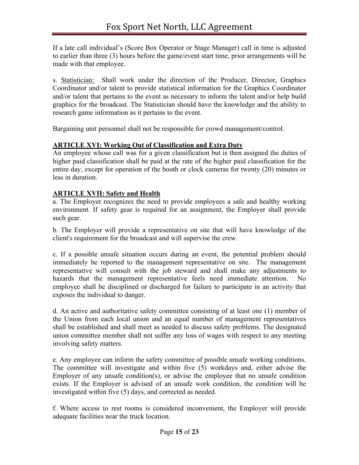If a late call individual's (Score Box Operator or Stage Manager) call in time is adjusted to earlier than three (3) hours before the game/event start time, prior arrangements will be made with that employee.

s. Statistician: Shall work under the direction of the Producer, Director, Graphics Coordinator and/or talent to provide statistical information for the Graphics Coordinator and/or talent that pertains to the event as necessary to inform the talent and/or help build graphics for the broadcast. The Statistician should have the knowledge and the ability to research game information as it pertains to the event.

Bargaining unit personnel shall not be responsible for crowd management/control.

## **ARTICLE XVI: Working Out of Classification and Extra Duty**

An employee whose call was for a given classification but is then assigned the duties of higher paid classification shall be paid at the rate of the higher paid classification for the entire day, except for operation of the booth or clock cameras for twenty (20) minutes or less in duration.

## **ARTICLE XVII: Safety and Health**

a. The Employer recognizes the need to provide employees a safe and healthy working environment. If safety gear is required for an assignment, the Employer shall provide such gear.

b. The Employer will provide a representative on site that will have knowledge of the client's requirement for the broadcast and will supervise the crew.

c. If a possible unsafe situation occurs during an event, the potential problem should immediately be reported to the management representative on site. The management representative will consult with the job steward and shall make any adjustments to hazards that the management representative feels need immediate attention. No employee shall be disciplined or discharged for failure to participate in an activity that exposes the individual to danger.

d. An active and authoritative safety committee consisting of at least one (1) member of the Union from each local union and an equal number of management representatives shall be established and shall meet as needed to discuss safety problems. The designated union committee member shall not suffer any loss of wages with respect to any meeting involving safety matters.

e. Any employee can inform the safety committee of possible unsafe working conditions. The committee will investigate and within five (5) workdays and, either advise the Employer of any unsafe condition(s), or advise the employee that no unsafe condition exists. If the Employer is advised of an unsafe work condition, the condition will be investigated within five (5) days, and corrected as needed.

f. Where access to rest rooms is considered inconvenient, the Employer will provide adequate facilities near the truck location.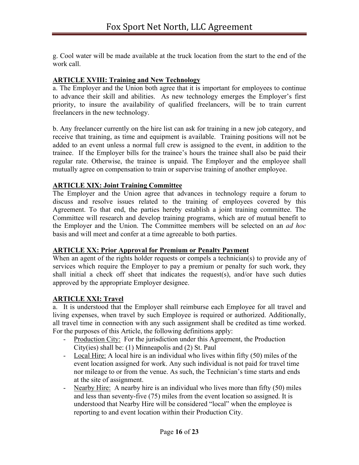g. Cool water will be made available at the truck location from the start to the end of the work call.

## **ARTICLE XVIII: Training and New Technology**

a. The Employer and the Union both agree that it is important for employees to continue to advance their skill and abilities. As new technology emerges the Employer's first priority, to insure the availability of qualified freelancers, will be to train current freelancers in the new technology.

b. Any freelancer currently on the hire list can ask for training in a new job category, and receive that training, as time and equipment is available. Training positions will not be added to an event unless a normal full crew is assigned to the event, in addition to the trainee. If the Employer bills for the trainee's hours the trainee shall also be paid their regular rate. Otherwise, the trainee is unpaid. The Employer and the employee shall mutually agree on compensation to train or supervise training of another employee.

## **ARTICLE XIX: Joint Training Committee**

The Employer and the Union agree that advances in technology require a forum to discuss and resolve issues related to the training of employees covered by this Agreement. To that end, the parties hereby establish a joint training committee. The Committee will research and develop training programs, which are of mutual benefit to the Employer and the Union. The Committee members will be selected on an *ad hoc* basis and will meet and confer at a time agreeable to both parties.

## **ARTICLE XX: Prior Approval for Premium or Penalty Payment**

When an agent of the rights holder requests or compels a technician(s) to provide any of services which require the Employer to pay a premium or penalty for such work, they shall initial a check off sheet that indicates the request(s), and/or have such duties approved by the appropriate Employer designee.

## **ARTICLE XXI: Travel**

a. It is understood that the Employer shall reimburse each Employee for all travel and living expenses, when travel by such Employee is required or authorized. Additionally, all travel time in connection with any such assignment shall be credited as time worked. For the purposes of this Article, the following definitions apply:

- Production City: For the jurisdiction under this Agreement, the Production City(ies) shall be: (1) Minneapolis and (2) St. Paul
- Local Hire: A local hire is an individual who lives within fifty (50) miles of the event location assigned for work. Any such individual is not paid for travel time nor mileage to or from the venue. As such, the Technician's time starts and ends at the site of assignment.
- Nearby Hire: A nearby hire is an individual who lives more than fifty (50) miles and less than seventy-five (75) miles from the event location so assigned. It is understood that Nearby Hire will be considered "local" when the employee is reporting to and event location within their Production City.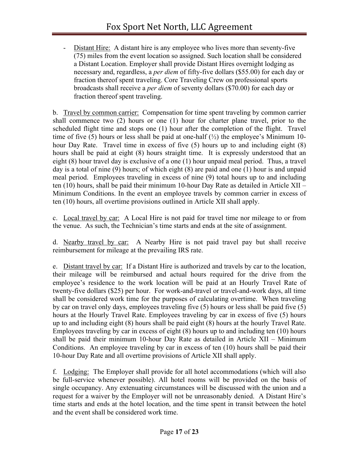Distant Hire: A distant hire is any employee who lives more than seventy-five (75) miles from the event location so assigned. Such location shall be considered a Distant Location. Employer shall provide Distant Hires overnight lodging as necessary and, regardless, a *per diem* of fifty-five dollars (\$55.00) for each day or fraction thereof spent traveling. Core Traveling Crew on professional sports broadcasts shall receive a *per diem* of seventy dollars (\$70.00) for each day or fraction thereof spent traveling.

b. Travel by common carrier: Compensation for time spent traveling by common carrier shall commence two (2) hours or one (1) hour for charter plane travel, prior to the scheduled flight time and stops one (1) hour after the completion of the flight. Travel time of five (5) hours or less shall be paid at one-half  $(\frac{1}{2})$  the employee's Minimum 10hour Day Rate. Travel time in excess of five (5) hours up to and including eight (8) hours shall be paid at eight (8) hours straight time. It is expressly understood that an eight (8) hour travel day is exclusive of a one (1) hour unpaid meal period. Thus, a travel day is a total of nine (9) hours; of which eight (8) are paid and one (1) hour is and unpaid meal period. Employees traveling in excess of nine (9) total hours up to and including ten (10) hours, shall be paid their minimum 10-hour Day Rate as detailed in Article XII – Minimum Conditions. In the event an employee travels by common carrier in excess of ten (10) hours, all overtime provisions outlined in Article XII shall apply.

c. Local travel by car: A Local Hire is not paid for travel time nor mileage to or from the venue. As such, the Technician's time starts and ends at the site of assignment.

d. Nearby travel by car: A Nearby Hire is not paid travel pay but shall receive reimbursement for mileage at the prevailing IRS rate.

e. Distant travel by car: If a Distant Hire is authorized and travels by car to the location, their mileage will be reimbursed and actual hours required for the drive from the employee's residence to the work location will be paid at an Hourly Travel Rate of twenty-five dollars (\$25) per hour. For work-and-travel or travel-and-work days, all time shall be considered work time for the purposes of calculating overtime. When traveling by car on travel only days, employees traveling five (5) hours or less shall be paid five (5) hours at the Hourly Travel Rate. Employees traveling by car in excess of five (5) hours up to and including eight (8) hours shall be paid eight (8) hours at the hourly Travel Rate. Employees traveling by car in excess of eight (8) hours up to and including ten (10) hours shall be paid their minimum 10-hour Day Rate as detailed in Article XII – Minimum Conditions. An employee traveling by car in excess of ten (10) hours shall be paid their 10-hour Day Rate and all overtime provisions of Article XII shall apply.

f. Lodging: The Employer shall provide for all hotel accommodations (which will also be full-service whenever possible). All hotel rooms will be provided on the basis of single occupancy. Any extenuating circumstances will be discussed with the union and a request for a waiver by the Employer will not be unreasonably denied. A Distant Hire's time starts and ends at the hotel location, and the time spent in transit between the hotel and the event shall be considered work time.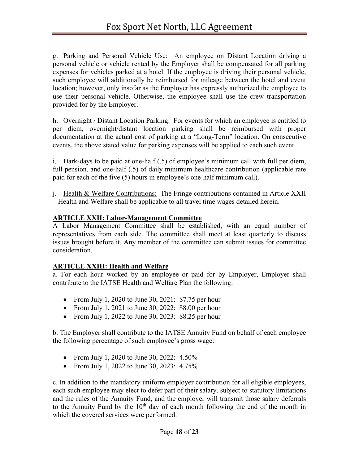g. Parking and Personal Vehicle Use: An employee on Distant Location driving a personal vehicle or vehicle rented by the Employer shall be compensated for all parking expenses for vehicles parked at a hotel. If the employee is driving their personal vehicle, such employee will additionally be reimbursed for mileage between the hotel and event location; however, only insofar as the Employer has expressly authorized the employee to use their personal vehicle. Otherwise, the employee shall use the crew transportation provided for by the Employer.

h. Overnight / Distant Location Parking: For events for which an employee is entitled to per diem, overnight/distant location parking shall be reimbursed with proper documentation at the actual cost of parking at a "Long-Term" location. On consecutive events, the above stated value for parking expenses will be applied to each such event.

i. Dark-days to be paid at one-half (.5) of employee's minimum call with full per diem, full pension, and one-half (.5) of daily minimum healthcare contribution (applicable rate paid for each of the five (5) hours in employee's one-half minimum call).

j. Health & Welfare Contributions: The Fringe contributions contained in Article XXII – Health and Welfare shall be applicable to all travel time wages detailed herein.

## **ARTICLE XXII: Labor-Management Committee**

A Labor Management Committee shall be established, with an equal number of representatives from each side. The committee shall meet at least quarterly to discuss issues brought before it. Any member of the committee can submit issues for committee consideration.

## **ARTICLE XXIII: Health and Welfare**

a. For each hour worked by an employee or paid for by Employer, Employer shall contribute to the IATSE Health and Welfare Plan the following:

- From July 1, 2020 to June 30, 2021: \$7.75 per hour
- From July 1, 2021 to June 30, 2022: \$8.00 per hour
- From July 1, 2022 to June 30, 2023: \$8.25 per hour

b. The Employer shall contribute to the IATSE Annuity Fund on behalf of each employee the following percentage of such employee's gross wage:

- From July 1, 2020 to June 30, 2022: 4.50%
- From July 1, 2022 to June 30, 2023: 4.75%

c. In addition to the mandatory uniform employer contribution for all eligible employees, each such employee may elect to defer part of their salary, subject to statutory limitations and the rules of the Annuity Fund, and the employer will transmit those salary deferrals to the Annuity Fund by the  $10<sup>th</sup>$  day of each month following the end of the month in which the covered services were performed.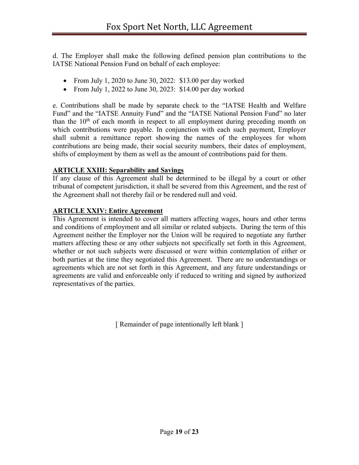d. The Employer shall make the following defined pension plan contributions to the IATSE National Pension Fund on behalf of each employee:

- From July 1, 2020 to June 30, 2022: \$13.00 per day worked
- From July 1, 2022 to June 30, 2023: \$14.00 per day worked

e. Contributions shall be made by separate check to the "IATSE Health and Welfare Fund" and the "IATSE Annuity Fund" and the "IATSE National Pension Fund" no later than the  $10<sup>th</sup>$  of each month in respect to all employment during preceding month on which contributions were payable. In conjunction with each such payment, Employer shall submit a remittance report showing the names of the employees for whom contributions are being made, their social security numbers, their dates of employment, shifts of employment by them as well as the amount of contributions paid for them.

## **ARTICLE XXIII: Separability and Savings**

If any clause of this Agreement shall be determined to be illegal by a court or other tribunal of competent jurisdiction, it shall be severed from this Agreement, and the rest of the Agreement shall not thereby fail or be rendered null and void.

## **ARTICLE XXIV: Entire Agreement**

This Agreement is intended to cover all matters affecting wages, hours and other terms and conditions of employment and all similar or related subjects. During the term of this Agreement neither the Employer nor the Union will be required to negotiate any further matters affecting these or any other subjects not specifically set forth in this Agreement, whether or not such subjects were discussed or were within contemplation of either or both parties at the time they negotiated this Agreement. There are no understandings or agreements which are not set forth in this Agreement, and any future understandings or agreements are valid and enforceable only if reduced to writing and signed by authorized representatives of the parties.

[ Remainder of page intentionally left blank ]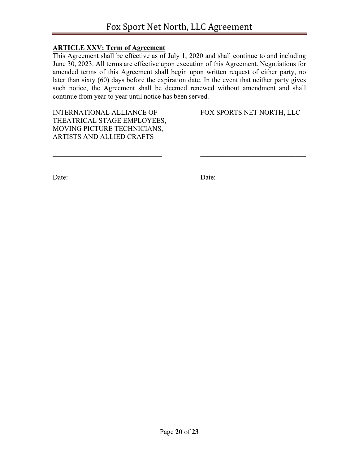## **ARTICLE XXV: Term of Agreement**

This Agreement shall be effective as of July 1, 2020 and shall continue to and including June 30, 2023. All terms are effective upon execution of this Agreement. Negotiations for amended terms of this Agreement shall begin upon written request of either party, no later than sixty (60) days before the expiration date. In the event that neither party gives such notice, the Agreement shall be deemed renewed without amendment and shall continue from year to year until notice has been served.

INTERNATIONAL ALLIANCE OF FOX SPORTS NET NORTH, LLC THEATRICAL STAGE EMPLOYEES, MOVING PICTURE TECHNICIANS, ARTISTS AND ALLIED CRAFTS

Date: \_\_\_\_\_\_\_\_\_\_\_\_\_\_\_\_\_\_\_\_\_\_\_\_\_\_ Date: \_\_\_\_\_\_\_\_\_\_\_\_\_\_\_\_\_\_\_\_\_\_\_\_\_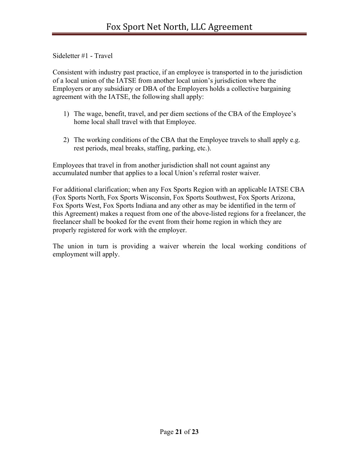Sideletter #1 - Travel

Consistent with industry past practice, if an employee is transported in to the jurisdiction of a local union of the IATSE from another local union's jurisdiction where the Employers or any subsidiary or DBA of the Employers holds a collective bargaining agreement with the IATSE, the following shall apply:

- 1) The wage, benefit, travel, and per diem sections of the CBA of the Employee's home local shall travel with that Employee.
- 2) The working conditions of the CBA that the Employee travels to shall apply e.g. rest periods, meal breaks, staffing, parking, etc.).

Employees that travel in from another jurisdiction shall not count against any accumulated number that applies to a local Union's referral roster waiver.

For additional clarification; when any Fox Sports Region with an applicable IATSE CBA (Fox Sports North, Fox Sports Wisconsin, Fox Sports Southwest, Fox Sports Arizona, Fox Sports West, Fox Sports Indiana and any other as may be identified in the term of this Agreement) makes a request from one of the above-listed regions for a freelancer, the freelancer shall be booked for the event from their home region in which they are properly registered for work with the employer.

The union in turn is providing a waiver wherein the local working conditions of employment will apply.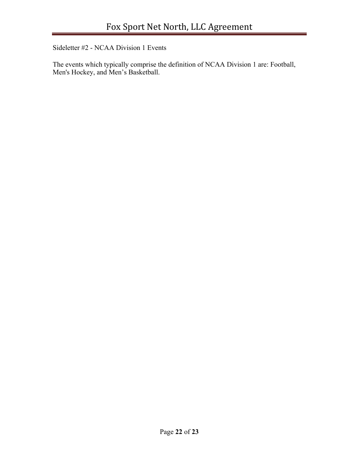Sideletter #2 - NCAA Division 1 Events

The events which typically comprise the definition of NCAA Division 1 are: Football, Men's Hockey, and Men's Basketball.